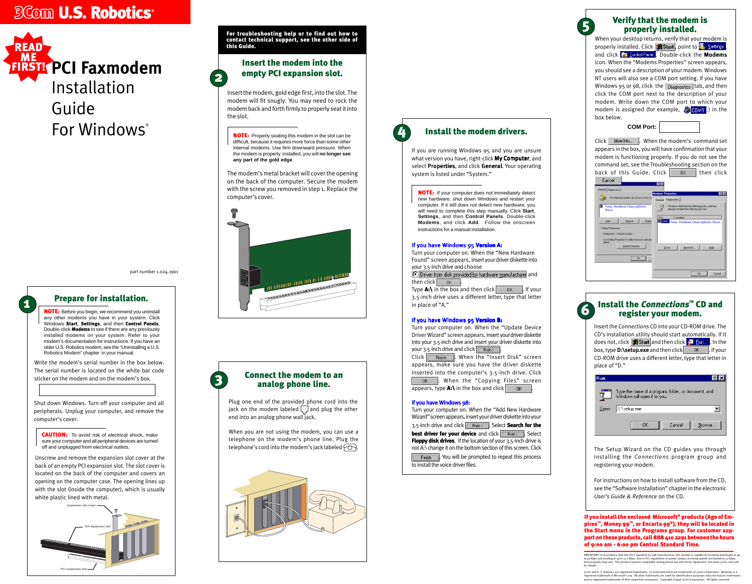Insert the *Connections* CD into your CD-ROM drive. The CD's installation utility should start automatically. If it does not, click **and start** and then click  $\frac{1}{2}$  **Eun...** In the box, type **D:\setup.exe** and then click **the limits of the U.** If your CD-ROM drive uses a different letter, type that letter in place of "D."

| <b>Run</b> |                                                                                       |
|------------|---------------------------------------------------------------------------------------|
|            | Type the name of a program, folder, or document, and<br>Windows will open it for you. |
| Open:      | $D$ :\setup.exe                                                                       |
|            | Cancel<br>Browse<br>OΚ                                                                |

## **6** Install the *Connections*<sup>"</sup> CD and<br>register your modem. register your modem.

## **3** Connect the modem to an analog phone line.

The Setup Wizard on the CD guides you through installing the *Connections* program group and registering your modem.

For instructions on how to install software from the CD, see the "Software Installation" chapter in the electronic *User's Guide & Reference* on the CD.

**CAUTION:** To avoid risk of electrical shock, make sure your computer and all peripheral devices are turned off and unplugged from electrical outlets.

When you are not using the modem, you can use a telephone on the modem's phone line. Plug the telephone's cord into the modem's jack labeled  $\sim$ .



Write the modem's serial number in the box below. The serial number is located on the white bar code sticker on the modem and on the modem's box.

Installation Guide For Windows®

Shut down Windows. Turn off your computer and all peripherals. Unplug your computer, and remove the computer's cover.

**NOTE:** Before you begin, we recommend you uninstall any other modems you have in your system. Click Windows Start, Settings, and then Control Panels, Double-click **Modems** to see if there are any previously installed modems on your system. Refer to your modem's documentation for instructions. If you have an older U.S. Robotics modem, see the "Uninstalling a U.S. Robotics Modem" chapter in your manual.

Unscrew and remove the expansion slot cover at the back of an empty PCI expansion slot. The slot cover is located on the back of the computer and covers an opening on the computer case. The opening lines up with the slot (inside the computer), which is usually white plastic lined with metal.

2

## Insert the modem into the empty PCI expansion slot.

**NOTE:** Properly seating this modem in the slot can be difficult, because it requires more force than some other internal modems. Use firm downward pressure. When the modem is properly installed, you will **no longer see any part of the gold edge**.

Insert the modem, gold edge first, into the slot. The modem will fit snugly. You may need to rock the modem back and forth firmly to properly seat it into the slot.

# **BCom U.S. Robotics**<sup>®</sup>



part number 1.024.1901

# **1** Prepare for installation.

Click  $\frac{M}{2}$  More Info...  $\frac{M}{2}$ . When the modem's command set appears in the box, you will have confirmation that your modem is functioning properly. If you do not see the command set, see the Troubleshooting section on the back of this Guide. Click then click

For troubleshooting help or to find out how to contact technical support, see the other side of this Guide.

> If you install the enclosed Microsoft® products (Age of Empires™, Money 99™, or Encarta 99®), they will be located in the Start menu in the Programs group. For customer support on these products, call 888 410 2291 between the hours of 9:00 am - 6:00 pm Central Standard Time.

Type A:\ in the box and then click  $\begin{bmatrix} 1 & 0 & 0 \\ 0 & 0 & 0 \\ 0 & 0 & 0 \end{bmatrix}$ . If your 3.5-inch drive uses a different letter, type that letter

### If you have Windows 95 Version B:

then click  $\overline{\phantom{a}}$  ok in place of "A."

Plug one end of the provided phone cord into the jack on the modem labeled  $\lfloor \frac{n}{2} \rfloor$  and plug the other end into an analog phone wall jack.

 $-0K$ 

Turn your computer on. When the "Update Device Driver Wizard" screen appears, insert your driver diskette into your 3.5-inch drive and insert your driver diskette into your 3.5-inch drive and click  $\sqrt{\frac{N_{\text{ext}}}{N_{\text{ext}}}}$ 

Click **Finish** . When the "Insert Disk" screen appears, make sure you have the driver diskette inserted into the computer's 3.5-inch drive. Click . When the "Copying Files" screen appears, type  $\mathbf{A}:\mathbf{\hat{i}}$  in the box and click  $\begin{bmatrix} 1 & 0 & 0 \\ 0 & 0 & 0 \\ 0 & 0 & 0 \end{bmatrix}$ 

### If you have Windows 98:

The modem's metal bracket will cover the opening on the back of the computer. Secure the modem with the screw you removed in step 1. Replace the computer's cover.



**NOTE:** If your computer does not immediately detect new hardware, shut down Windows and restart your computer. If it still does not detect new hardware, you will need to complete this step manually. Click **Start**, **Settings**, and then **Control Panels**. Double-click **Modems**, and click **Add**. Follow the onscreen instructions for a manual installation.

### If you have Windows 95 Version A:

When your desktop returns, verify that your modem is properly installed. Click  $\mathbb{R}$  Start, point to  $\mathbb{R}$ . Settings, and click **R** Control Panel . Double-click the Modems icon. When the "Modems Properties" screen appears, you should see a description of your modem. Windows NT users will also see a COM port setting. If you have Windows 95 or 98, click the  $\overline{Diagonostics}$  tab, and then click the COM port next to the description of your modem. Write down the COM port to which your modem is assigned (for example,  $\sqrt{\frac{1}{200M1}}$ ) in the box below.

**COM Port:**

| Here                       | Your Modem Description                               |                 | Windows detected the following point, and has<br>already metalled the tollowing devices: |      |
|----------------------------|------------------------------------------------------|-----------------|------------------------------------------------------------------------------------------|------|
| Add.                       | Fignave                                              | Port<br>Pyopart | <b>Installed</b><br><b>TETH</b> Your Modem Description Here                              |      |
| <b>Diskip Freistences:</b> | Dialing from: Detault Location                       |                 |                                                                                          |      |
| dated                      | Una Dialing Properties for modify how your palls are |                 |                                                                                          |      |
|                            | <b>Diskip Freperties</b>                             |                 | Mare Info<br>Driver                                                                      | Help |

### 5 Verify that the modem is properly installed.

IMPORTANT! In accordance with the ITU-T standard for 56K transmissions, this modem is capable of receiving downloads at up to 56 Kbps and sending at up to 31.2 Kbps. Due to FCC regulations on power output, receiving speeds are limited to 53 Kbps.<br>Actual speeds may vary. This product requires compatible analog phone line and server equipment. S for details.

3Com and U. S. Robotics are registered trademarks; x2 and*Connections* are trademarks of 3Com Corporation. Windows is a<br>registered trademark of Microsoft Corp. All other trademarks are used for identification purposes onl



If you are running Windows 95 and you are unsure what version you have, right-click My Computer, and select Properties, and click General. Your operating system is listed under "System."

Turn your computer on. When the "New Hardware Found" screen appears, insert your driver diskette into your 3.5-inch drive and choose

**C** Driver from disk provided by hardware manufacturer and

Turn your computer on. When the "Add New Hardware Wizard" screen appears, insert your driver diskette into your 3.5-inch drive and click  $\sqrt{\frac{N_{\text{ext}}}{N_{\text{ext}}}}$ . Select **Search for the** best driver for your device and click **Next Solid Property**. Select **Floppy disk drives.** If the location of your 3.5-inch drive is not A:\ change it on the bottom section of this screen. Click

**The Timish Times 1. You will be prompted to repeat this process** 

## Install the modem drivers.

to install the voice driver files.